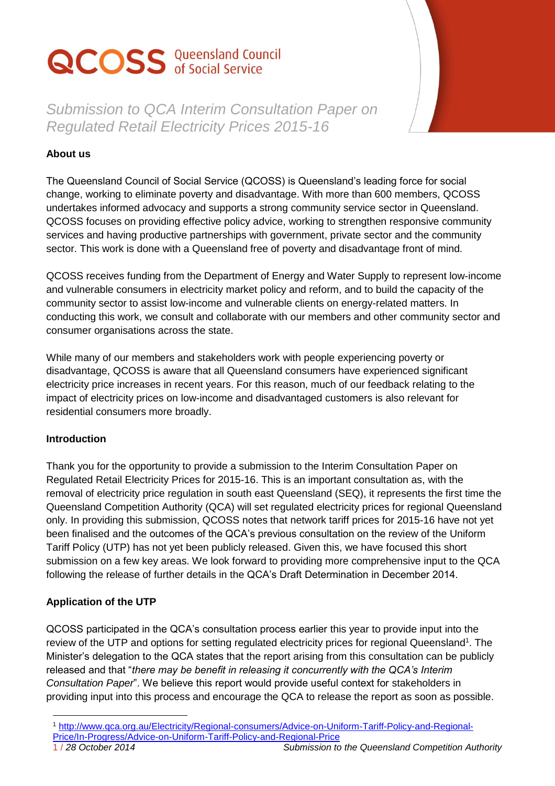# **QCOSS** Queensland Council

*Submission to QCA Interim Consultation Paper on Regulated Retail Electricity Prices 2015-16*

## **About us**

The Queensland Council of Social Service (QCOSS) is Queensland's leading force for social change, working to eliminate poverty and disadvantage. With more than 600 members, QCOSS undertakes informed advocacy and supports a strong community service sector in Queensland. QCOSS focuses on providing effective policy advice, working to strengthen responsive community services and having productive partnerships with government, private sector and the community sector. This work is done with a Queensland free of poverty and disadvantage front of mind.

QCOSS receives funding from the Department of Energy and Water Supply to represent low-income and vulnerable consumers in electricity market policy and reform, and to build the capacity of the community sector to assist low-income and vulnerable clients on energy-related matters. In conducting this work, we consult and collaborate with our members and other community sector and consumer organisations across the state.

While many of our members and stakeholders work with people experiencing poverty or disadvantage, QCOSS is aware that all Queensland consumers have experienced significant electricity price increases in recent years. For this reason, much of our feedback relating to the impact of electricity prices on low-income and disadvantaged customers is also relevant for residential consumers more broadly.

#### **Introduction**

Thank you for the opportunity to provide a submission to the Interim Consultation Paper on Regulated Retail Electricity Prices for 2015-16. This is an important consultation as, with the removal of electricity price regulation in south east Queensland (SEQ), it represents the first time the Queensland Competition Authority (QCA) will set regulated electricity prices for regional Queensland only. In providing this submission, QCOSS notes that network tariff prices for 2015-16 have not yet been finalised and the outcomes of the QCA's previous consultation on the review of the Uniform Tariff Policy (UTP) has not yet been publicly released. Given this, we have focused this short submission on a few key areas. We look forward to providing more comprehensive input to the QCA following the release of further details in the QCA's Draft Determination in December 2014.

#### **Application of the UTP**

QCOSS participated in the QCA's consultation process earlier this year to provide input into the review of the UTP and options for setting regulated electricity prices for regional Queensland<sup>1</sup>. The Minister's delegation to the QCA states that the report arising from this consultation can be publicly released and that "*there may be benefit in releasing it concurrently with the QCA's Interim Consultation Paper*". We believe this report would provide useful context for stakeholders in providing input into this process and encourage the QCA to release the report as soon as possible.

 $\overline{a}$ 

<sup>1</sup> [http://www.qca.org.au/Electricity/Regional-consumers/Advice-on-Uniform-Tariff-Policy-and-Regional-](http://www.qca.org.au/Electricity/Regional-consumers/Advice-on-Uniform-Tariff-Policy-and-Regional-Price/In-Progress/Advice-on-Uniform-Tariff-Policy-and-Regional-Price)

[Price/In-Progress/Advice-on-Uniform-Tariff-Policy-and-Regional-Price](http://www.qca.org.au/Electricity/Regional-consumers/Advice-on-Uniform-Tariff-Policy-and-Regional-Price/In-Progress/Advice-on-Uniform-Tariff-Policy-and-Regional-Price)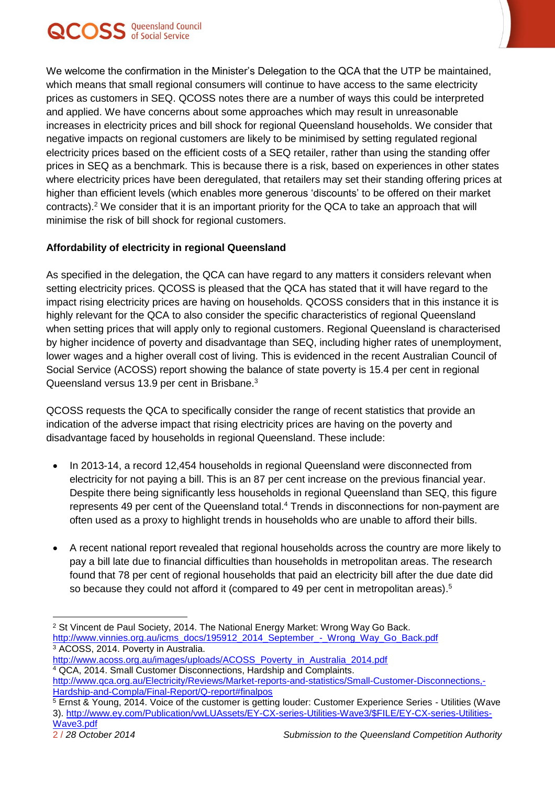

We welcome the confirmation in the Minister's Delegation to the QCA that the UTP be maintained, which means that small regional consumers will continue to have access to the same electricity prices as customers in SEQ. QCOSS notes there are a number of ways this could be interpreted and applied. We have concerns about some approaches which may result in unreasonable increases in electricity prices and bill shock for regional Queensland households. We consider that negative impacts on regional customers are likely to be minimised by setting regulated regional electricity prices based on the efficient costs of a SEQ retailer, rather than using the standing offer prices in SEQ as a benchmark. This is because there is a risk, based on experiences in other states where electricity prices have been deregulated, that retailers may set their standing offering prices at higher than efficient levels (which enables more generous 'discounts' to be offered on their market contracts). <sup>2</sup> We consider that it is an important priority for the QCA to take an approach that will minimise the risk of bill shock for regional customers.

### **Affordability of electricity in regional Queensland**

As specified in the delegation, the QCA can have regard to any matters it considers relevant when setting electricity prices. QCOSS is pleased that the QCA has stated that it will have regard to the impact rising electricity prices are having on households. QCOSS considers that in this instance it is highly relevant for the QCA to also consider the specific characteristics of regional Queensland when setting prices that will apply only to regional customers. Regional Queensland is characterised by higher incidence of poverty and disadvantage than SEQ, including higher rates of unemployment, lower wages and a higher overall cost of living. This is evidenced in the recent Australian Council of Social Service (ACOSS) report showing the balance of state poverty is 15.4 per cent in regional Queensland versus 13.9 per cent in Brisbane.<sup>3</sup>

QCOSS requests the QCA to specifically consider the range of recent statistics that provide an indication of the adverse impact that rising electricity prices are having on the poverty and disadvantage faced by households in regional Queensland. These include:

- In 2013-14, a record 12,454 households in regional Queensland were disconnected from electricity for not paying a bill. This is an 87 per cent increase on the previous financial year. Despite there being significantly less households in regional Queensland than SEQ, this figure represents 49 per cent of the Queensland total.<sup>4</sup> Trends in disconnections for non-payment are often used as a proxy to highlight trends in households who are unable to afford their bills.
- A recent national report revealed that regional households across the country are more likely to pay a bill late due to financial difficulties than households in metropolitan areas. The research found that 78 per cent of regional households that paid an electricity bill after the due date did so because they could not afford it (compared to 49 per cent in metropolitan areas).<sup>5</sup>

<sup>3</sup> ACOSS, 2014. Poverty in Australia.

 $\overline{a}$ 

<sup>&</sup>lt;sup>2</sup> St Vincent de Paul Society, 2014. The National Energy Market: Wrong Way Go Back. [http://www.vinnies.org.au/icms\\_docs/195912\\_2014\\_September\\_-\\_Wrong\\_Way\\_Go\\_Back.pdf](http://www.vinnies.org.au/icms_docs/195912_2014_September_-_Wrong_Way_Go_Back.pdf)

[http://www.acoss.org.au/images/uploads/ACOSS\\_Poverty\\_in\\_Australia\\_2014.pdf](http://www.acoss.org.au/images/uploads/ACOSS_Poverty_in_Australia_2014.pdf) <sup>4</sup> QCA, 2014. Small Customer Disconnections, Hardship and Complaints.

[http://www.qca.org.au/Electricity/Reviews/Market-reports-and-statistics/Small-Customer-Disconnections,-](http://www.qca.org.au/Electricity/Reviews/Market-reports-and-statistics/Small-Customer-Disconnections,-Hardship-and-Compla/Final-Report/Q-report#finalpos) [Hardship-and-Compla/Final-Report/Q-report#finalpos](http://www.qca.org.au/Electricity/Reviews/Market-reports-and-statistics/Small-Customer-Disconnections,-Hardship-and-Compla/Final-Report/Q-report#finalpos)

<sup>5</sup> Ernst & Young, 2014. Voice of the customer is getting louder: Customer Experience Series - Utilities (Wave 3). [http://www.ey.com/Publication/vwLUAssets/EY-CX-series-Utilities-Wave3/\\$FILE/EY-CX-series-Utilities-](http://www.ey.com/Publication/vwLUAssets/EY-CX-series-Utilities-Wave3/$FILE/EY-CX-series-Utilities-Wave3.pdf)[Wave3.pdf](http://www.ey.com/Publication/vwLUAssets/EY-CX-series-Utilities-Wave3/$FILE/EY-CX-series-Utilities-Wave3.pdf)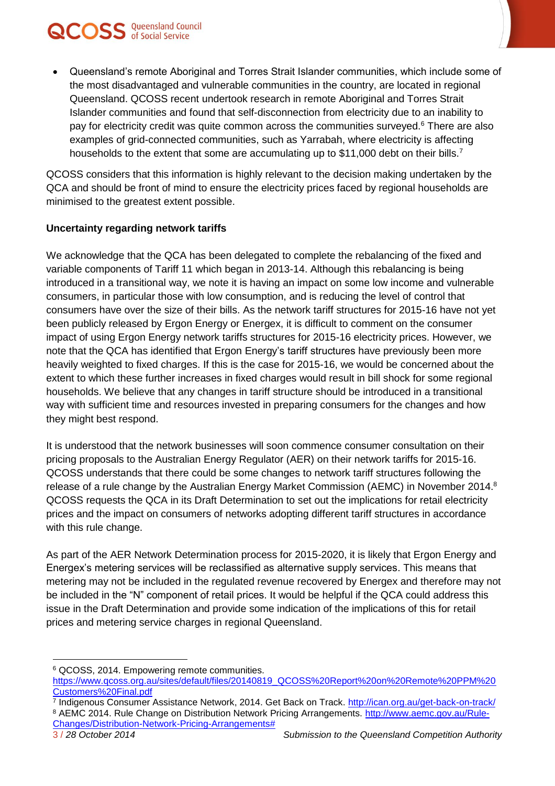

 Queensland's remote Aboriginal and Torres Strait Islander communities, which include some of the most disadvantaged and vulnerable communities in the country, are located in regional Queensland. QCOSS recent undertook research in remote Aboriginal and Torres Strait Islander communities and found that self-disconnection from electricity due to an inability to pay for electricity credit was quite common across the communities surveyed.<sup>6</sup> There are also examples of grid-connected communities, such as Yarrabah, where electricity is affecting households to the extent that some are accumulating up to \$11,000 debt on their bills.<sup>7</sup>

QCOSS considers that this information is highly relevant to the decision making undertaken by the QCA and should be front of mind to ensure the electricity prices faced by regional households are minimised to the greatest extent possible.

#### **Uncertainty regarding network tariffs**

We acknowledge that the QCA has been delegated to complete the rebalancing of the fixed and variable components of Tariff 11 which began in 2013-14. Although this rebalancing is being introduced in a transitional way, we note it is having an impact on some low income and vulnerable consumers, in particular those with low consumption, and is reducing the level of control that consumers have over the size of their bills. As the network tariff structures for 2015-16 have not yet been publicly released by Ergon Energy or Energex, it is difficult to comment on the consumer impact of using Ergon Energy network tariffs structures for 2015-16 electricity prices. However, we note that the QCA has identified that Ergon Energy's tariff structures have previously been more heavily weighted to fixed charges. If this is the case for 2015-16, we would be concerned about the extent to which these further increases in fixed charges would result in bill shock for some regional households. We believe that any changes in tariff structure should be introduced in a transitional way with sufficient time and resources invested in preparing consumers for the changes and how they might best respond.

It is understood that the network businesses will soon commence consumer consultation on their pricing proposals to the Australian Energy Regulator (AER) on their network tariffs for 2015-16. QCOSS understands that there could be some changes to network tariff structures following the release of a rule change by the Australian Energy Market Commission (AEMC) in November 2014.<sup>8</sup> QCOSS requests the QCA in its Draft Determination to set out the implications for retail electricity prices and the impact on consumers of networks adopting different tariff structures in accordance with this rule change.

As part of the AER Network Determination process for 2015-2020, it is likely that Ergon Energy and Energex's metering services will be reclassified as alternative supply services. This means that metering may not be included in the regulated revenue recovered by Energex and therefore may not be included in the "N" component of retail prices. It would be helpful if the QCA could address this issue in the Draft Determination and provide some indication of the implications of this for retail prices and metering service charges in regional Queensland.

 $\overline{a}$ <sup>6</sup> QCOSS, 2014. Empowering remote communities.

[https://www.qcoss.org.au/sites/default/files/20140819\\_QCOSS%20Report%20on%20Remote%20PPM%20](https://www.qcoss.org.au/sites/default/files/20140819_QCOSS%20Report%20on%20Remote%20PPM%20Customers%20Final.pdf) [Customers%20Final.pdf](https://www.qcoss.org.au/sites/default/files/20140819_QCOSS%20Report%20on%20Remote%20PPM%20Customers%20Final.pdf)

<sup>&</sup>lt;sup>7</sup> Indigenous Consumer Assistance Network, 2014. Get Back on Track. <u>http://ican.org.au/get-back-on-track/</u> 8 AEMC 2014. Rule Change on Distribution Network Pricing Arrangements. [http://www.aemc.gov.au/Rule-](http://www.aemc.gov.au/Rule-Changes/Distribution-Network-Pricing-Arrangements)[Changes/Distribution-Network-Pricing-Arrangements#](http://www.aemc.gov.au/Rule-Changes/Distribution-Network-Pricing-Arrangements)